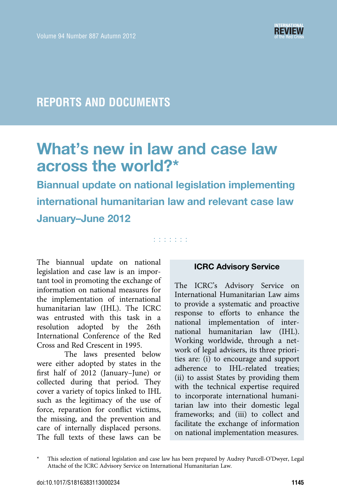

## REPORTS AND DOCUMENTS

# What's new in law and case law across the world?\*

Biannual update on national legislation implementing international humanitarian law and relevant case law January–June 2012

#### **Editoria**

The biannual update on national legislation and case law is an important tool in promoting the exchange of information on national measures for the implementation of international humanitarian law (IHL). The ICRC was entrusted with this task in a resolution adopted by the 26th International Conference of the Red Cross and Red Crescent in 1995.

The laws presented below were either adopted by states in the first half of 2012 (January–June) or collected during that period. They cover a variety of topics linked to IHL such as the legitimacy of the use of force, reparation for conflict victims, the missing, and the prevention and care of internally displaced persons. The full texts of these laws can be

#### ICRC Advisory Service

The ICRC's Advisory Service on International Humanitarian Law aims to provide a systematic and proactive response to efforts to enhance the national implementation of international humanitarian law (IHL). Working worldwide, through a network of legal advisers, its three priorities are: (i) to encourage and support adherence to IHL-related treaties; (ii) to assist States by providing them with the technical expertise required to incorporate international humanitarian law into their domestic legal frameworks; and (iii) to collect and facilitate the exchange of information on national implementation measures.

This selection of national legislation and case law has been prepared by Audrey Purcell-O'Dwyer, Legal Attaché of the ICRC Advisory Service on International Humanitarian Law.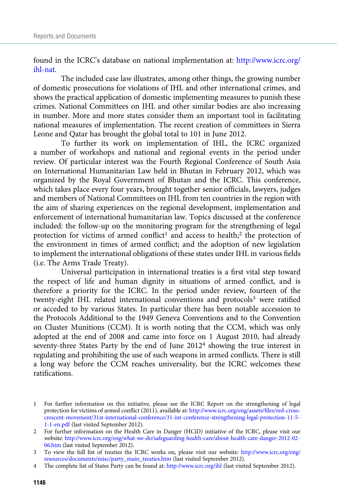found in the ICRC's database on national implementation at: [http://www.icrc.org/](http://www.icrc.org/eng/assets/files/red-cross-crescent-movement/31st-international-conference/31-int-conference-strengthening-legal-protection-11-5-1-1-en.pdf) [ihl-nat](http://www.icrc.org/eng/assets/files/red-cross-crescent-movement/31st-international-conference/31-int-conference-strengthening-legal-protection-11-5-1-1-en.pdf).

The included case law illustrates, among other things, the growing number of domestic prosecutions for violations of IHL and other international crimes, and shows the practical application of domestic implementing measures to punish these crimes. National Committees on IHL and other similar bodies are also increasing in number. More and more states consider them an important tool in facilitating national measures of implementation. The recent creation of committees in Sierra Leone and Qatar has brought the global total to 101 in June 2012.

To further its work on implementation of IHL, the ICRC organized a number of workshops and national and regional events in the period under review. Of particular interest was the Fourth Regional Conference of South Asia on International Humanitarian Law held in Bhutan in February 2012, which was organized by the Royal Government of Bhutan and the ICRC. This conference, which takes place every four years, brought together senior officials, lawyers, judges and members of National Committees on IHL from ten countries in the region with the aim of sharing experiences on the regional development, implementation and enforcement of international humanitarian law. Topics discussed at the conference included: the follow-up on the monitoring program for the strengthening of legal protection for victims of armed conflict<sup>1</sup> and access to health;<sup>2</sup> the protection of the environment in times of armed conflict; and the adoption of new legislation to implement the international obligations of these states under IHL in various fields (i.e. The Arms Trade Treaty).

Universal participation in international treaties is a first vital step toward the respect of life and human dignity in situations of armed conflict, and is therefore a priority for the ICRC. In the period under review, fourteen of the twenty-eight IHL related international conventions and protocols<sup>3</sup> were ratified or acceded to by various States. In particular there has been notable accession to the Protocols Additional to the 1949 Geneva Conventions and to the Convention on Cluster Munitions (CCM). It is worth noting that the CCM, which was only adopted at the end of 2008 and came into force on 1 August 2010, had already seventy-three States Party by the end of June 2012<sup>4</sup> showing the true interest in regulating and prohibiting the use of such weapons in armed conflicts. There is still a long way before the CCM reaches universality, but the ICRC welcomes these ratifications.

<sup>1</sup> For further information on this initiative, please see the ICRC Report on the strengthening of legal protection for victims of armed conflict (2011), available at: [http://www.icrc.org/eng/assets/](http://www.icrc.org/eng/assets/files/red-cross-crescent-movement/31st-international-conference/31-int-conference-strengthening-legal-protection-11-5-1-1-en.pdf)files/red-cross[crescent-movement/31st-international-conference/31-int-conference-strengthening-legal-protection-11-5-](http://www.icrc.org/eng/assets/files/red-cross-crescent-movement/31st-international-conference/31-int-conference-strengthening-legal-protection-11-5-1-1-en.pdf) [1-1-en.pdf](http://www.icrc.org/eng/assets/files/red-cross-crescent-movement/31st-international-conference/31-int-conference-strengthening-legal-protection-11-5-1-1-en.pdf) (last visited September 2012).

<sup>2</sup> For further information on the Health Care in Danger (HCiD) initiative of the ICRC, please visit our website: [http://www.icrc.org/eng/what-we-do/safeguarding-health-care/about-health-care-danger-2012-02-](http://www.icrc.org/eng/what-we-do/safeguarding-health-care/about-health-care-danger-2012-02-06.htm) [06.htm](http://www.icrc.org/eng/what-we-do/safeguarding-health-care/about-health-care-danger-2012-02-06.htm) (last visited September 2012).

<sup>3</sup> To view the full list of treaties the ICRC works on, please visit our website: [http://www.icrc.org/eng/](http://www.icrc.org/eng/resources/documents/misc/party_main_treaties.htm) [resources/documents/misc/party\\_main\\_treaties.htm](http://www.icrc.org/eng/resources/documents/misc/party_main_treaties.htm) (last visited September 2012).

<sup>4</sup> The complete list of States Party can be found at: <http://www.icrc.org/ihl> (last visited September 2012).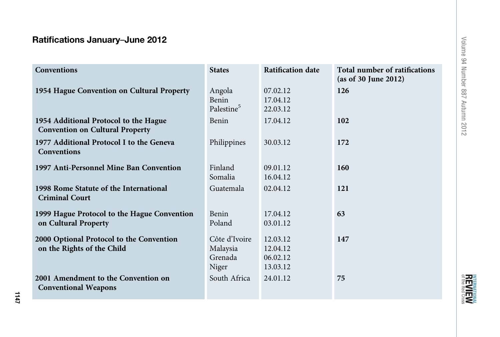## Rati fications January*–*June 2012

| <b>Conventions</b>                                                              | <b>States</b>                                 | <b>Ratification date</b>                     | <b>Total number of ratifications</b><br>(as of 30 June 2012) |
|---------------------------------------------------------------------------------|-----------------------------------------------|----------------------------------------------|--------------------------------------------------------------|
| 1954 Hague Convention on Cultural Property                                      | Angola<br>Benin<br>Palestine <sup>5</sup>     | 07.02.12<br>17.04.12<br>22.03.12             | 126                                                          |
| 1954 Additional Protocol to the Hague<br><b>Convention on Cultural Property</b> | Benin                                         | 17.04.12                                     | 102                                                          |
| 1977 Additional Protocol I to the Geneva<br>Conventions                         | Philippines                                   | 30.03.12                                     | 172                                                          |
| 1997 Anti-Personnel Mine Ban Convention                                         | Finland<br>Somalia                            | 09.01.12<br>16.04.12                         | 160                                                          |
| 1998 Rome Statute of the International<br><b>Criminal Court</b>                 | Guatemala                                     | 02.04.12                                     | 121                                                          |
| 1999 Hague Protocol to the Hague Convention<br>on Cultural Property             | Benin<br>Poland                               | 17.04.12<br>03.01.12                         | 63                                                           |
| 2000 Optional Protocol to the Convention<br>on the Rights of the Child          | Côte d'Ivoire<br>Malaysia<br>Grenada<br>Niger | 12.03.12<br>12.04.12<br>06.02.12<br>13.03.12 | 147                                                          |
| 2001 Amendment to the Convention on<br><b>Conventional Weapons</b>              | South Africa                                  | 24.01.12                                     | 75                                                           |

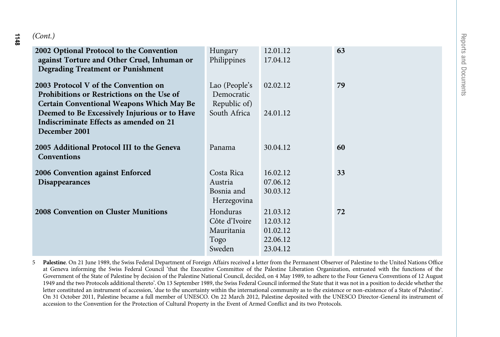## (Cont.)

1148

| 2002 Optional Protocol to the Convention<br>against Torture and Other Cruel, Inhuman or<br><b>Degrading Treatment or Punishment</b>    | Hungary<br>Philippines                                    | 12.01.12<br>17.04.12                                     | 63 |
|----------------------------------------------------------------------------------------------------------------------------------------|-----------------------------------------------------------|----------------------------------------------------------|----|
| 2003 Protocol V of the Convention on<br>Prohibitions or Restrictions on the Use of<br><b>Certain Conventional Weapons Which May Be</b> | Lao (People's<br>Democratic<br>Republic of)               | 02.02.12                                                 | 79 |
| Deemed to Be Excessively Injurious or to Have<br>Indiscriminate Effects as amended on 21<br>December 2001                              | South Africa                                              | 24.01.12                                                 |    |
| 2005 Additional Protocol III to the Geneva<br>Conventions                                                                              | Panama                                                    | 30.04.12                                                 | 60 |
| 2006 Convention against Enforced<br><b>Disappearances</b>                                                                              | Costa Rica<br>Austria<br>Bosnia and<br>Herzegovina        | 16.02.12<br>07.06.12<br>30.03.12                         | 33 |
| <b>2008 Convention on Cluster Munitions</b>                                                                                            | Honduras<br>Côte d'Ivoire<br>Mauritania<br>Togo<br>Sweden | 21.03.12<br>12.03.12<br>01.02.12<br>22.06.12<br>23.04.12 | 72 |

5 Palestine. On <sup>21</sup> June 1989, the Swiss Federal Department of Foreign Affairs received <sup>a</sup> letter from the Permanent Observer of Palestine to the United Nations Office at Geneva informing the Swiss Federal Council 'that the Executive Committee of the Palestine Liberation Organization, entrusted with the functions of the Government of the State of Palestine by decision of the Palestine National Council, decided, on <sup>4</sup> May 1989, to adhere to the Four Geneva Conventions of <sup>12</sup> August <sup>1949</sup> and the two Protocols additional thereto'. On <sup>13</sup> September 1989, the Swiss Federal Council informed the State that it was not in <sup>a</sup> position to decide whether the letter constituted an instrument of accession, 'due to the uncertainty within the international community as to the existence or non-existence of <sup>a</sup> State of Palestine'. On <sup>31</sup> October 2011, Palestine became <sup>a</sup> full member of UNESCO. On <sup>22</sup> March 2012, Palestine deposited with the UNESCO Director-General its instrument of accession to the Convention for the Protection of Cultural Property in the Event of Armed Conflict and its two Protocols.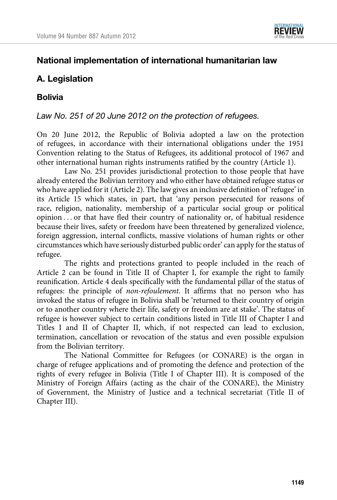

## National implementation of international humanitarian law

## A. Legislation

## Bolivia

## Law No. 251 of 20 June 2012 on the protection of refugees.

On 20 June 2012, the Republic of Bolivia adopted a law on the protection of refugees, in accordance with their international obligations under the 1951 Convention relating to the Status of Refugees, its additional protocol of 1967 and other international human rights instruments ratified by the country (Article 1).

Law No. 251 provides jurisdictional protection to those people that have already entered the Bolivian territory and who either have obtained refugee status or who have applied for it (Article 2). The law gives an inclusive definition of 'refugee' in its Article 15 which states, in part, that 'any person persecuted for reasons of race, religion, nationality, membership of a particular social group or political opinion ... or that have fled their country of nationality or, of habitual residence because their lives, safety or freedom have been threatened by generalized violence, foreign aggression, internal conflicts, massive violations of human rights or other circumstances which have seriously disturbed public order' can apply for the status of refugee.

The rights and protections granted to people included in the reach of Article 2 can be found in Title II of Chapter I, for example the right to family reunification. Article 4 deals specifically with the fundamental pillar of the status of refugees: the principle of non-refoulement. It affirms that no person who has invoked the status of refugee in Bolivia shall be 'returned to their country of origin or to another country where their life, safety or freedom are at stake'. The status of refugee is however subject to certain conditions listed in Title III of Chapter I and Titles I and II of Chapter II, which, if not respected can lead to exclusion, termination, cancellation or revocation of the status and even possible expulsion from the Bolivian territory.

The National Committee for Refugees (or CONARE) is the organ in charge of refugee applications and of promoting the defence and protection of the rights of every refugee in Bolivia (Title I of Chapter III). It is composed of the Ministry of Foreign Affairs (acting as the chair of the CONARE), the Ministry of Government, the Ministry of Justice and a technical secretariat (Title II of Chapter III).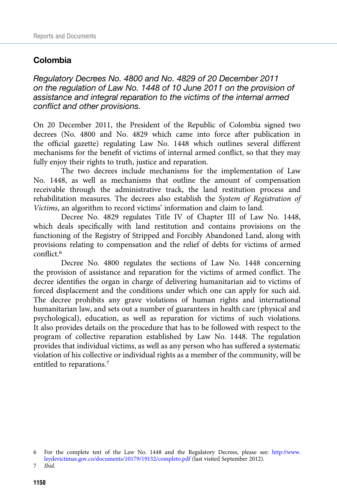## Colombia

Regulatory Decrees No. 4800 and No. 4829 of 20 December 2011 on the regulation of Law No. 1448 of 10 June 2011 on the provision of assistance and integral reparation to the victims of the internal armed conflict and other provisions.

On 20 December 2011, the President of the Republic of Colombia signed two decrees (No. 4800 and No. 4829 which came into force after publication in the official gazette) regulating Law No. 1448 which outlines several different mechanisms for the benefit of victims of internal armed conflict, so that they may fully enjoy their rights to truth, justice and reparation.

The two decrees include mechanisms for the implementation of Law No. 1448, as well as mechanisms that outline the amount of compensation receivable through the administrative track, the land restitution process and rehabilitation measures. The decrees also establish the System of Registration of Victims, an algorithm to record victims' information and claim to land.

Decree No. 4829 regulates Title IV of Chapter III of Law No. 1448, which deals specifically with land restitution and contains provisions on the functioning of the Registry of Stripped and Forcibly Abandoned Land, along with provisions relating to compensation and the relief of debts for victims of armed conflict.<sup>6</sup>

Decree No. 4800 regulates the sections of Law No. 1448 concerning the provision of assistance and reparation for the victims of armed conflict. The decree identifies the organ in charge of delivering humanitarian aid to victims of forced displacement and the conditions under which one can apply for such aid. The decree prohibits any grave violations of human rights and international humanitarian law, and sets out a number of guarantees in health care (physical and psychological), education, as well as reparation for victims of such violations. It also provides details on the procedure that has to be followed with respect to the program of collective reparation established by Law No. 1448. The regulation provides that individual victims, as well as any person who has suffered a systematic violation of his collective or individual rights as a member of the community, will be entitled to reparations.7

<sup>6</sup> For the complete text of the Law No. 1448 and the Regulatory Decrees, please see: [http://www.](http://www.leydevictimas.gov.co/documents/10179/19132/completo.pdf) [leydevictimas.gov.co/documents/10179/19132/completo.pdf](http://www.leydevictimas.gov.co/documents/10179/19132/completo.pdf) (last visited September 2012).

<sup>7</sup> Ibid.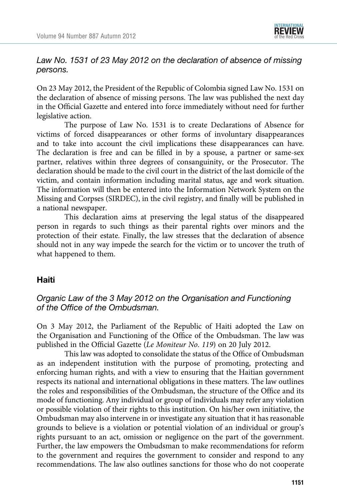

## Law No. 1531 of 23 May 2012 on the declaration of absence of missing persons.

On 23 May 2012, the President of the Republic of Colombia signed Law No. 1531 on the declaration of absence of missing persons. The law was published the next day in the Official Gazette and entered into force immediately without need for further legislative action.

The purpose of Law No. 1531 is to create Declarations of Absence for victims of forced disappearances or other forms of involuntary disappearances and to take into account the civil implications these disappearances can have. The declaration is free and can be filled in by a spouse, a partner or same-sex partner, relatives within three degrees of consanguinity, or the Prosecutor. The declaration should be made to the civil court in the district of the last domicile of the victim, and contain information including marital status, age and work situation. The information will then be entered into the Information Network System on the Missing and Corpses (SIRDEC), in the civil registry, and finally will be published in a national newspaper.

This declaration aims at preserving the legal status of the disappeared person in regards to such things as their parental rights over minors and the protection of their estate. Finally, the law stresses that the declaration of absence should not in any way impede the search for the victim or to uncover the truth of what happened to them.

#### **Haiti**

## Organic Law of the 3 May 2012 on the Organisation and Functioning of the Office of the Ombudsman.

On 3 May 2012, the Parliament of the Republic of Haiti adopted the Law on the Organisation and Functioning of the Office of the Ombudsman. The law was published in the Official Gazette (Le Moniteur No. 119) on 20 July 2012.

This law was adopted to consolidate the status of the Office of Ombudsman as an independent institution with the purpose of promoting, protecting and enforcing human rights, and with a view to ensuring that the Haitian government respects its national and international obligations in these matters. The law outlines the roles and responsibilities of the Ombudsman, the structure of the Office and its mode of functioning. Any individual or group of individuals may refer any violation or possible violation of their rights to this institution. On his/her own initiative, the Ombudsman may also intervene in or investigate any situation that it has reasonable grounds to believe is a violation or potential violation of an individual or group's rights pursuant to an act, omission or negligence on the part of the government. Further, the law empowers the Ombudsman to make recommendations for reform to the government and requires the government to consider and respond to any recommendations. The law also outlines sanctions for those who do not cooperate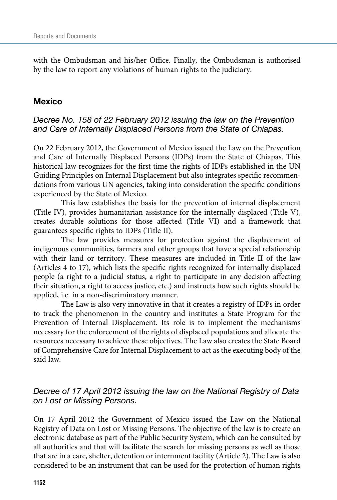with the Ombudsman and his/her Office. Finally, the Ombudsman is authorised by the law to report any violations of human rights to the judiciary.

#### Mexico

#### Decree No. 158 of 22 February 2012 issuing the law on the Prevention and Care of Internally Displaced Persons from the State of Chiapas.

On 22 February 2012, the Government of Mexico issued the Law on the Prevention and Care of Internally Displaced Persons (IDPs) from the State of Chiapas. This historical law recognizes for the first time the rights of IDPs established in the UN Guiding Principles on Internal Displacement but also integrates specific recommendations from various UN agencies, taking into consideration the specific conditions experienced by the State of Mexico.

This law establishes the basis for the prevention of internal displacement (Title IV), provides humanitarian assistance for the internally displaced (Title V), creates durable solutions for those affected (Title VI) and a framework that guarantees specific rights to IDPs (Title II).

The law provides measures for protection against the displacement of indigenous communities, farmers and other groups that have a special relationship with their land or territory. These measures are included in Title II of the law (Articles 4 to 17), which lists the specific rights recognized for internally displaced people (a right to a judicial status, a right to participate in any decision affecting their situation, a right to access justice, etc.) and instructs how such rights should be applied, i.e. in a non-discriminatory manner.

The Law is also very innovative in that it creates a registry of IDPs in order to track the phenomenon in the country and institutes a State Program for the Prevention of Internal Displacement. Its role is to implement the mechanisms necessary for the enforcement of the rights of displaced populations and allocate the resources necessary to achieve these objectives. The Law also creates the State Board of Comprehensive Care for Internal Displacement to act as the executing body of the said law.

#### Decree of 17 April 2012 issuing the law on the National Registry of Data on Lost or Missing Persons.

On 17 April 2012 the Government of Mexico issued the Law on the National Registry of Data on Lost or Missing Persons. The objective of the law is to create an electronic database as part of the Public Security System, which can be consulted by all authorities and that will facilitate the search for missing persons as well as those that are in a care, shelter, detention or internment facility (Article 2). The Law is also considered to be an instrument that can be used for the protection of human rights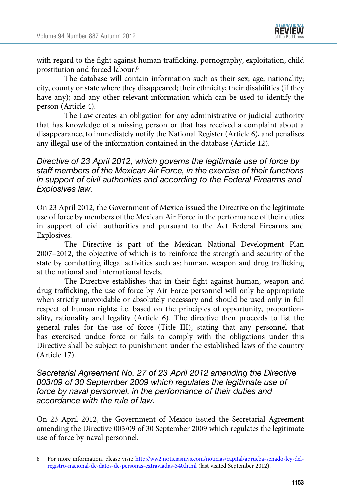

with regard to the fight against human trafficking, pornography, exploitation, child prostitution and forced labour.8

The database will contain information such as their sex; age; nationality; city, county or state where they disappeared; their ethnicity; their disabilities (if they have any); and any other relevant information which can be used to identify the person (Article 4).

The Law creates an obligation for any administrative or judicial authority that has knowledge of a missing person or that has received a complaint about a disappearance, to immediately notify the National Register (Article 6), and penalises any illegal use of the information contained in the database (Article 12).

## Directive of 23 April 2012, which governs the legitimate use of force by staff members of the Mexican Air Force, in the exercise of their functions in support of civil authorities and according to the Federal Firearms and Explosives law.

On 23 April 2012, the Government of Mexico issued the Directive on the legitimate use of force by members of the Mexican Air Force in the performance of their duties in support of civil authorities and pursuant to the Act Federal Firearms and Explosives.

The Directive is part of the Mexican National Development Plan 2007–2012, the objective of which is to reinforce the strength and security of the state by combatting illegal activities such as: human, weapon and drug trafficking at the national and international levels.

The Directive establishes that in their fight against human, weapon and drug trafficking, the use of force by Air Force personnel will only be appropriate when strictly unavoidable or absolutely necessary and should be used only in full respect of human rights; i.e. based on the principles of opportunity, proportionality, rationality and legality (Article 6). The directive then proceeds to list the general rules for the use of force (Title III), stating that any personnel that has exercised undue force or fails to comply with the obligations under this Directive shall be subject to punishment under the established laws of the country (Article 17).

Secretarial Agreement No. 27 of 23 April 2012 amending the Directive 003/09 of 30 September 2009 which regulates the legitimate use of force by naval personnel, in the performance of their duties and accordance with the rule of law.

On 23 April 2012, the Government of Mexico issued the Secretarial Agreement amending the Directive 003/09 of 30 September 2009 which regulates the legitimate use of force by naval personnel.

<sup>8</sup> For more information, please visit: [http://ww2.noticiasmvs.com/noticias/capital/aprueba-senado-ley-del](http://ww2.noticiasmvs.com/noticias/capital/aprueba-senado-ley-del-registro-nacional-de-datos-de-personas-extraviadas-340.html)[registro-nacional-de-datos-de-personas-extraviadas-340.html](http://ww2.noticiasmvs.com/noticias/capital/aprueba-senado-ley-del-registro-nacional-de-datos-de-personas-extraviadas-340.html) (last visited September 2012).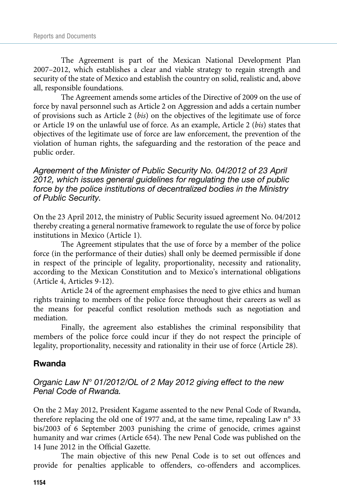The Agreement is part of the Mexican National Development Plan 2007–2012, which establishes a clear and viable strategy to regain strength and security of the state of Mexico and establish the country on solid, realistic and, above all, responsible foundations.

The Agreement amends some articles of the Directive of 2009 on the use of force by naval personnel such as Article 2 on Aggression and adds a certain number of provisions such as Article 2 (bis) on the objectives of the legitimate use of force or Article 19 on the unlawful use of force. As an example, Article 2 (bis) states that objectives of the legitimate use of force are law enforcement, the prevention of the violation of human rights, the safeguarding and the restoration of the peace and public order.

Agreement of the Minister of Public Security No. 04/2012 of 23 April 2012, which issues general guidelines for regulating the use of public force by the police institutions of decentralized bodies in the Ministry of Public Security.

On the 23 April 2012, the ministry of Public Security issued agreement No. 04/2012 thereby creating a general normative framework to regulate the use of force by police institutions in Mexico (Article 1).

The Agreement stipulates that the use of force by a member of the police force (in the performance of their duties) shall only be deemed permissible if done in respect of the principle of legality, proportionality, necessity and rationality, according to the Mexican Constitution and to Mexico's international obligations (Article 4, Articles 9-12).

Article 24 of the agreement emphasises the need to give ethics and human rights training to members of the police force throughout their careers as well as the means for peaceful conflict resolution methods such as negotiation and mediation.

Finally, the agreement also establishes the criminal responsibility that members of the police force could incur if they do not respect the principle of legality, proportionality, necessity and rationality in their use of force (Article 28).

## Rwanda

## Organic Law N° 01/2012/OL of 2 May 2012 giving effect to the new Penal Code of Rwanda.

On the 2 May 2012, President Kagame assented to the new Penal Code of Rwanda, therefore replacing the old one of 1977 and, at the same time, repealing Law n° 33 bis/2003 of 6 September 2003 punishing the crime of genocide, crimes against humanity and war crimes (Article 654). The new Penal Code was published on the 14 June 2012 in the Official Gazette.

The main objective of this new Penal Code is to set out offences and provide for penalties applicable to offenders, co-offenders and accomplices.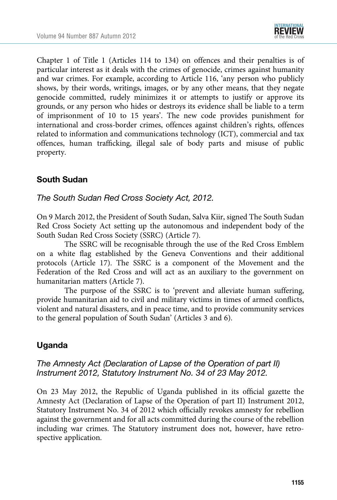

Chapter 1 of Title 1 (Articles 114 to 134) on offences and their penalties is of particular interest as it deals with the crimes of genocide, crimes against humanity and war crimes. For example, according to Article 116, 'any person who publicly shows, by their words, writings, images, or by any other means, that they negate genocide committed, rudely minimizes it or attempts to justify or approve its grounds, or any person who hides or destroys its evidence shall be liable to a term of imprisonment of 10 to 15 years'. The new code provides punishment for international and cross-border crimes, offences against children's rights, offences related to information and communications technology (ICT), commercial and tax offences, human trafficking, illegal sale of body parts and misuse of public property.

## South Sudan

## The South Sudan Red Cross Society Act, 2012.

On 9 March 2012, the President of South Sudan, Salva Kiir, signed The South Sudan Red Cross Society Act setting up the autonomous and independent body of the South Sudan Red Cross Society (SSRC) (Article 7).

The SSRC will be recognisable through the use of the Red Cross Emblem on a white flag established by the Geneva Conventions and their additional protocols (Article 17). The SSRC is a component of the Movement and the Federation of the Red Cross and will act as an auxiliary to the government on humanitarian matters (Article 7).

The purpose of the SSRC is to 'prevent and alleviate human suffering, provide humanitarian aid to civil and military victims in times of armed conflicts, violent and natural disasters, and in peace time, and to provide community services to the general population of South Sudan' (Articles 3 and 6).

## Uganda

## The Amnesty Act (Declaration of Lapse of the Operation of part II) Instrument 2012, Statutory Instrument No. 34 of 23 May 2012.

On 23 May 2012, the Republic of Uganda published in its official gazette the Amnesty Act (Declaration of Lapse of the Operation of part II) Instrument 2012, Statutory Instrument No. 34 of 2012 which officially revokes amnesty for rebellion against the government and for all acts committed during the course of the rebellion including war crimes. The Statutory instrument does not, however, have retrospective application.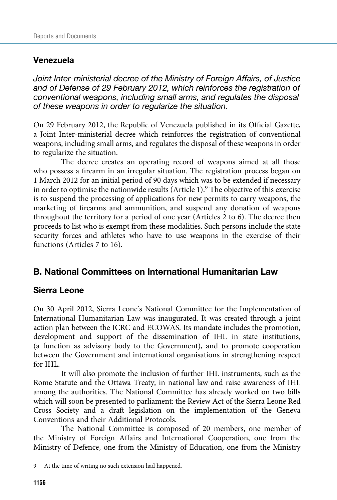## Venezuela

Joint Inter-ministerial decree of the Ministry of Foreign Affairs, of Justice and of Defense of 29 February 2012, which reinforces the registration of conventional weapons, including small arms, and regulates the disposal of these weapons in order to regularize the situation.

On 29 February 2012, the Republic of Venezuela published in its Official Gazette, a Joint Inter-ministerial decree which reinforces the registration of conventional weapons, including small arms, and regulates the disposal of these weapons in order to regularize the situation.

The decree creates an operating record of weapons aimed at all those who possess a firearm in an irregular situation. The registration process began on 1 March 2012 for an initial period of 90 days which was to be extended if necessary in order to optimise the nationwide results (Article 1).<sup>9</sup> The objective of this exercise is to suspend the processing of applications for new permits to carry weapons, the marketing of firearms and ammunition, and suspend any donation of weapons throughout the territory for a period of one year (Articles 2 to 6). The decree then proceeds to list who is exempt from these modalities. Such persons include the state security forces and athletes who have to use weapons in the exercise of their functions (Articles 7 to 16).

## B. National Committees on International Humanitarian Law

## Sierra Leone

On 30 April 2012, Sierra Leone's National Committee for the Implementation of International Humanitarian Law was inaugurated. It was created through a joint action plan between the ICRC and ECOWAS. Its mandate includes the promotion, development and support of the dissemination of IHL in state institutions, (a function as advisory body to the Government), and to promote cooperation between the Government and international organisations in strengthening respect for IHL.

It will also promote the inclusion of further IHL instruments, such as the Rome Statute and the Ottawa Treaty, in national law and raise awareness of IHL among the authorities. The National Committee has already worked on two bills which will soon be presented to parliament: the Review Act of the Sierra Leone Red Cross Society and a draft legislation on the implementation of the Geneva Conventions and their Additional Protocols.

The National Committee is composed of 20 members, one member of the Ministry of Foreign Affairs and International Cooperation, one from the Ministry of Defence, one from the Ministry of Education, one from the Ministry

<sup>9</sup> At the time of writing no such extension had happened.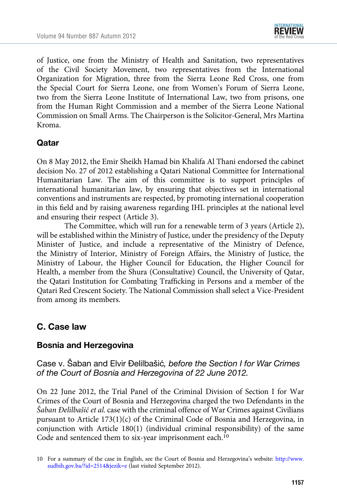

of Justice, one from the Ministry of Health and Sanitation, two representatives of the Civil Society Movement, two representatives from the International Organization for Migration, three from the Sierra Leone Red Cross, one from the Special Court for Sierra Leone, one from Women's Forum of Sierra Leone, two from the Sierra Leone Institute of International Law, two from prisons, one from the Human Right Commission and a member of the Sierra Leone National Commission on Small Arms. The Chairperson is the Solicitor-General, Mrs Martina Kroma.

## **Qatar**

On 8 May 2012, the Emir Sheikh Hamad bin Khalifa Al Thani endorsed the cabinet decision No. 27 of 2012 establishing a Qatari National Committee for International Humanitarian Law. The aim of this committee is to support principles of international humanitarian law, by ensuring that objectives set in international conventions and instruments are respected, by promoting international cooperation in this field and by raising awareness regarding IHL principles at the national level and ensuring their respect (Article 3).

The Committee, which will run for a renewable term of 3 years (Article 2), will be established within the Ministry of Justice, under the presidency of the Deputy Minister of Justice, and include a representative of the Ministry of Defence, the Ministry of Interior, Ministry of Foreign Affairs, the Ministry of Justice, the Ministry of Labour, the Higher Council for Education, the Higher Council for Health, a member from the Shura (Consultative) Council, the University of Qatar, the Qatari Institution for Combating Trafficking in Persons and a member of the Qatari Red Crescent Society. The National Commission shall select a Vice-President from among its members.

## C. Case law

## Bosnia and Herzegovina

## Case v. Šaban and Elvir Đelilbašić, before the Section I for War Crimes of the Court of Bosnia and Herzegovina of 22 June 2012.

On 22 June 2012, the Trial Panel of the Criminal Division of Section I for War Crimes of the Court of Bosnia and Herzegovina charged the two Defendants in the Šaban Đelilbašić et al. case with the criminal offence of War Crimes against Civilians pursuant to Article 173(1)(c) of the Criminal Code of Bosnia and Herzegovina, in conjunction with Article 180(1) (individual criminal responsibility) of the same Code and sentenced them to six-year imprisonment each.<sup>10</sup>

<sup>10</sup> For a summary of the case in English, see the Court of Bosnia and Herzegovina's website: [http://www.](http://www.sudbih.gov.ba/?id=2514&jezik=e) [sudbih.gov.ba/?id=2514&jezik=e](http://www.sudbih.gov.ba/?id=2514&jezik=e) (last visited September 2012).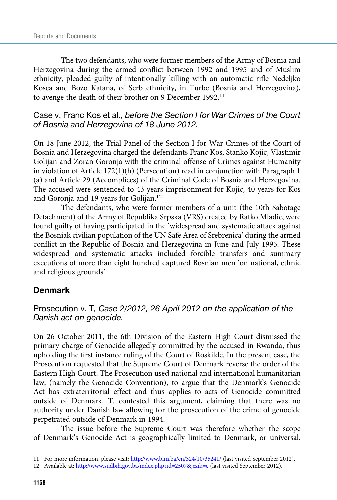The two defendants, who were former members of the Army of Bosnia and Herzegovina during the armed conflict between 1992 and 1995 and of Muslim ethnicity, pleaded guilty of intentionally killing with an automatic rifle Nedeljko Kosca and Bozo Katana, of Serb ethnicity, in Turbe (Bosnia and Herzegovina), to avenge the death of their brother on 9 December 1992.<sup>11</sup>

## Case v. Franc Kos et al., before the Section I for War Crimes of the Court of Bosnia and Herzegovina of 18 June 2012.

On 18 June 2012, the Trial Panel of the Section I for War Crimes of the Court of Bosnia and Herzegovina charged the defendants Franc Kos, Stanko Kojic, Vlastimir Golijan and Zoran Goronja with the criminal offense of Crimes against Humanity in violation of Article 172(1)(h) (Persecution) read in conjunction with Paragraph 1 (a) and Article 29 (Accomplices) of the Criminal Code of Bosnia and Herzegovina. The accused were sentenced to 43 years imprisonment for Kojic, 40 years for Kos and Goronja and 19 years for Golijan.<sup>12</sup>

The defendants, who were former members of a unit (the 10th Sabotage Detachment) of the Army of Republika Srpska (VRS) created by Ratko Mladic, were found guilty of having participated in the 'widespread and systematic attack against the Bosniak civilian population of the UN Safe Area of Srebrenica' during the armed conflict in the Republic of Bosnia and Herzegovina in June and July 1995. These widespread and systematic attacks included forcible transfers and summary executions of more than eight hundred captured Bosnian men 'on national, ethnic and religious grounds'.

## Denmark

## Prosecution v. T, Case 2/2012, 26 April 2012 on the application of the Danish act on genocide.

On 26 October 2011, the 6th Division of the Eastern High Court dismissed the primary charge of Genocide allegedly committed by the accused in Rwanda, thus upholding the first instance ruling of the Court of Roskilde. In the present case, the Prosecution requested that the Supreme Court of Denmark reverse the order of the Eastern High Court. The Prosecution used national and international humanitarian law, (namely the Genocide Convention), to argue that the Denmark's Genocide Act has extraterritorial effect and thus applies to acts of Genocide committed outside of Denmark. T. contested this argument, claiming that there was no authority under Danish law allowing for the prosecution of the crime of genocide perpetrated outside of Denmark in 1994.

The issue before the Supreme Court was therefore whether the scope of Denmark's Genocide Act is geographically limited to Denmark, or universal.

<sup>11</sup> For more information, please visit: <http://www.bim.ba/en/324/10/35241/> (last visited September 2012).

<sup>12</sup> Available at: <http://www.sudbih.gov.ba/index.php?id=2507&jezik=e> (last visited September 2012).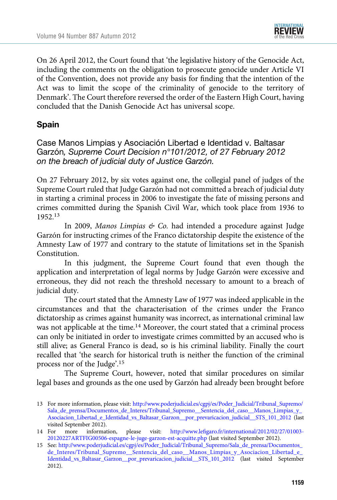

On 26 April 2012, the Court found that 'the legislative history of the Genocide Act, including the comments on the obligation to prosecute genocide under Article VI of the Convention, does not provide any basis for finding that the intention of the Act was to limit the scope of the criminality of genocide to the territory of Denmark'. The Court therefore reversed the order of the Eastern High Court, having concluded that the Danish Genocide Act has universal scope.

## Spain

Case Manos Limpias y Asociación Libertad e Identidad v. Baltasar Garzón, Supreme Court Decision n°101/2012, of 27 February 2012 on the breach of judicial duty of Justice Garzón.

On 27 February 2012, by six votes against one, the collegial panel of judges of the Supreme Court ruled that Judge Garzón had not committed a breach of judicial duty in starting a criminal process in 2006 to investigate the fate of missing persons and crimes committed during the Spanish Civil War, which took place from 1936 to 1952.13

In 2009, Manos Limpias  $\mathfrak{G}$  Co. had intended a procedure against Judge Garzón for instructing crimes of the Franco dictatorship despite the existence of the Amnesty Law of 1977 and contrary to the statute of limitations set in the Spanish Constitution.

In this judgment, the Supreme Court found that even though the application and interpretation of legal norms by Judge Garzón were excessive and erroneous, they did not reach the threshold necessary to amount to a breach of judicial duty.

The court stated that the Amnesty Law of 1977 was indeed applicable in the circumstances and that the characterisation of the crimes under the Franco dictatorship as crimes against humanity was incorrect, as international criminal law was not applicable at the time.14 Moreover, the court stated that a criminal process can only be initiated in order to investigate crimes committed by an accused who is still alive; as General Franco is dead, so is his criminal liability. Finally the court recalled that 'the search for historical truth is neither the function of the criminal process nor of the Judge'. 15

The Supreme Court, however, noted that similar procedures on similar legal bases and grounds as the one used by Garzón had already been brought before

<sup>13</sup> For more information, please visit: [http://www.poderjudicial.es/cgpj/es/Poder\\_Judicial/Tribunal\\_Supremo/](http://www.poderjudicial.es/cgpj/es/Poder_Judicial/Tribunal_Supremo/Sala_de_prensa/Documentos_de_Interes/Tribunal_Supremo__Sentencia_del_caso__Manos_Limpias_y_Asociacion_Libertad_e_Identidad_vs_Baltasar_Garzon__por_prevaricacion_judicial__STS_101_2012) [Sala\\_de\\_prensa/Documentos\\_de\\_Interes/Tribunal\\_Supremo\\_\\_Sentencia\\_del\\_caso\\_\\_Manos\\_Limpias\\_y\\_](http://www.poderjudicial.es/cgpj/es/Poder_Judicial/Tribunal_Supremo/Sala_de_prensa/Documentos_de_Interes/Tribunal_Supremo__Sentencia_del_caso__Manos_Limpias_y_Asociacion_Libertad_e_Identidad_vs_Baltasar_Garzon__por_prevaricacion_judicial__STS_101_2012) [Asociacion\\_Libertad\\_e\\_Identidad\\_vs\\_Baltasar\\_Garzon\\_\\_por\\_prevaricacion\\_judicial\\_\\_STS\\_101\\_2012](http://www.poderjudicial.es/cgpj/es/Poder_Judicial/Tribunal_Supremo/Sala_de_prensa/Documentos_de_Interes/Tribunal_Supremo__Sentencia_del_caso__Manos_Limpias_y_Asociacion_Libertad_e_Identidad_vs_Baltasar_Garzon__por_prevaricacion_judicial__STS_101_2012) (last visited September 2012).

<sup>14</sup> For more information, please visit: [http://](http://www.lefigaro.fr/international/2012/02/27/01003-20120227ARTFIG00506-espagne-le-juge-garzon-est-acquitte.php)www.lefi[garo.fr/international/2012/02/27/01003-](http://www.lefigaro.fr/international/2012/02/27/01003-20120227ARTFIG00506-espagne-le-juge-garzon-est-acquitte.php) [20120227ARTFIG00506-espagne-le-juge-garzon-est-acquitte.php](http://www.lefigaro.fr/international/2012/02/27/01003-20120227ARTFIG00506-espagne-le-juge-garzon-est-acquitte.php) (last visited September 2012).

<sup>15</sup> See: [http://www.poderjudicial.es/cgpj/es/Poder\\_Judicial/Tribunal\\_Supremo/Sala\\_de\\_prensa/Documentos\\_](http://www.poderjudicial.es/cgpj/es/Poder_Judicial/Tribunal_Supremo/Sala_de_prensa/Documentos_de_Interes/Tribunal_Supremo__Sentencia_del_caso__Manos_Limpias_y_Asociacion_Libertad_e_Identidad_vs_Baltasar_Garzon__por_prevaricacion_judicial__STS_101_2012) [de\\_Interes/Tribunal\\_Supremo\\_\\_Sentencia\\_del\\_caso\\_\\_Manos\\_Limpias\\_y\\_Asociacion\\_Libertad\\_e\\_](http://www.poderjudicial.es/cgpj/es/Poder_Judicial/Tribunal_Supremo/Sala_de_prensa/Documentos_de_Interes/Tribunal_Supremo__Sentencia_del_caso__Manos_Limpias_y_Asociacion_Libertad_e_Identidad_vs_Baltasar_Garzon__por_prevaricacion_judicial__STS_101_2012) [Identidad\\_vs\\_Baltasar\\_Garzon\\_\\_por\\_prevaricacion\\_judicial\\_\\_STS\\_101\\_2012](http://www.poderjudicial.es/cgpj/es/Poder_Judicial/Tribunal_Supremo/Sala_de_prensa/Documentos_de_Interes/Tribunal_Supremo__Sentencia_del_caso__Manos_Limpias_y_Asociacion_Libertad_e_Identidad_vs_Baltasar_Garzon__por_prevaricacion_judicial__STS_101_2012) (last visited September 2012).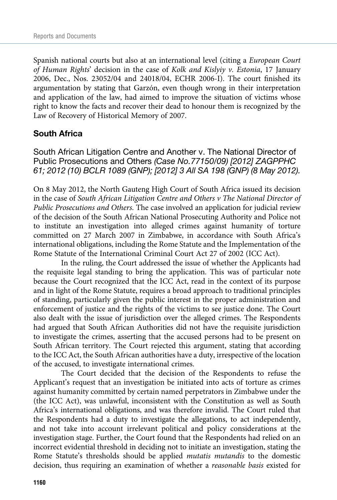Spanish national courts but also at an international level (citing a European Court of Human Rights' decision in the case of Kolk and Kislyiy v. Estonia, 17 January 2006, Dec., Nos. 23052/04 and 24018/04, ECHR 2006-I). The court finished its argumentation by stating that Garzón, even though wrong in their interpretation and application of the law, had aimed to improve the situation of victims whose right to know the facts and recover their dead to honour them is recognized by the Law of Recovery of Historical Memory of 2007.

#### South Africa

South African Litigation Centre and Another v. The National Director of Public Prosecutions and Others (Case No.77150/09) [2012] ZAGPPHC 61; 2012 (10) BCLR 1089 (GNP); [2012] 3 All SA 198 (GNP) (8 May 2012).

On 8 May 2012, the North Gauteng High Court of South Africa issued its decision in the case of South African Litigation Centre and Others v The National Director of Public Prosecutions and Others. The case involved an application for judicial review of the decision of the South African National Prosecuting Authority and Police not to institute an investigation into alleged crimes against humanity of torture committed on 27 March 2007 in Zimbabwe, in accordance with South Africa's international obligations, including the Rome Statute and the Implementation of the Rome Statute of the International Criminal Court Act 27 of 2002 (ICC Act).

In the ruling, the Court addressed the issue of whether the Applicants had the requisite legal standing to bring the application. This was of particular note because the Court recognized that the ICC Act, read in the context of its purpose and in light of the Rome Statute, requires a broad approach to traditional principles of standing, particularly given the public interest in the proper administration and enforcement of justice and the rights of the victims to see justice done. The Court also dealt with the issue of jurisdiction over the alleged crimes. The Respondents had argued that South African Authorities did not have the requisite jurisdiction to investigate the crimes, asserting that the accused persons had to be present on South African territory. The Court rejected this argument, stating that according to the ICC Act, the South African authorities have a duty, irrespective of the location of the accused, to investigate international crimes.

The Court decided that the decision of the Respondents to refuse the Applicant's request that an investigation be initiated into acts of torture as crimes against humanity committed by certain named perpetrators in Zimbabwe under the (the ICC Act), was unlawful, inconsistent with the Constitution as well as South Africa's international obligations, and was therefore invalid. The Court ruled that the Respondents had a duty to investigate the allegations, to act independently, and not take into account irrelevant political and policy considerations at the investigation stage. Further, the Court found that the Respondents had relied on an incorrect evidential threshold in deciding not to initiate an investigation, stating the Rome Statute's thresholds should be applied mutatis mutandis to the domestic decision, thus requiring an examination of whether a reasonable basis existed for